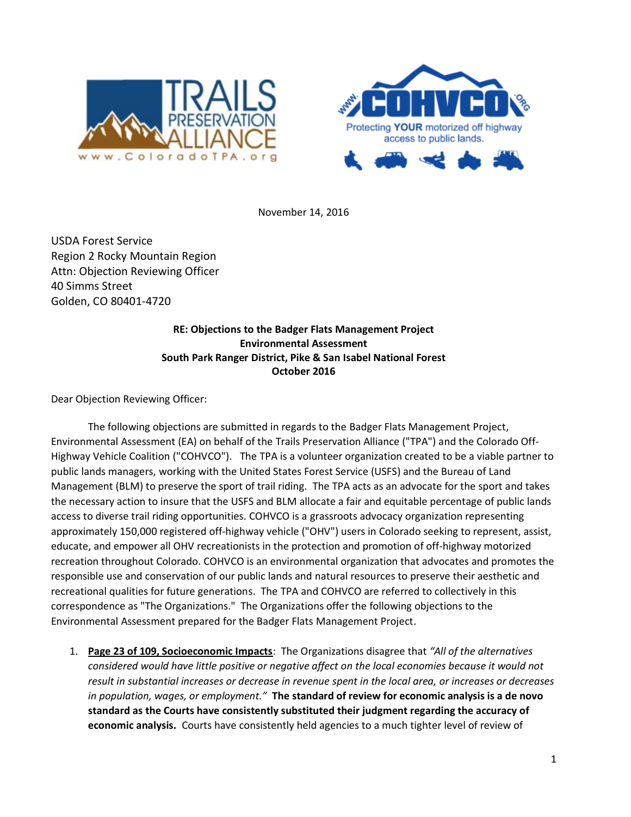



November 14, 2016

USDA Forest Service Region 2 Rocky Mountain Region Attn: Objection Reviewing Officer 40 Simms Street Golden, CO 80401-4720

## **RE: Objections to the Badger Flats Management Project Environmental Assessment South Park Ranger District, Pike & San Isabel National Forest October 2016**

Dear Objection Reviewing Officer:

The following objections are submitted in regards to the Badger Flats Management Project, Environmental Assessment (EA) on behalf of the Trails Preservation Alliance ("TPA") and the Colorado Off-Highway Vehicle Coalition ("COHVCO"). The TPA is a volunteer organization created to be a viable partner to public lands managers, working with the United States Forest Service (USFS) and the Bureau of Land Management (BLM) to preserve the sport of trail riding. The TPA acts as an advocate for the sport and takes the necessary action to insure that the USFS and BLM allocate a fair and equitable percentage of public lands access to diverse trail riding opportunities. COHVCO is a grassroots advocacy organization representing approximately 150,000 registered off-highway vehicle ("OHV") users in Colorado seeking to represent, assist, educate, and empower all OHV recreationists in the protection and promotion of off-highway motorized recreation throughout Colorado. COHVCO is an environmental organization that advocates and promotes the responsible use and conservation of our public lands and natural resources to preserve their aesthetic and recreational qualities for future generations. The TPA and COHVCO are referred to collectively in this correspondence as "The Organizations." The Organizations offer the following objections to the Environmental Assessment prepared for the Badger Flats Management Project.

1. **Page 23 of 109, Socioeconomic Impacts**: The Organizations disagree that *"All of the alternatives considered would have little positive or negative affect on the local economies because it would not result in substantial increases or decrease in revenue spent in the local area, or increases or decreases in population, wages, or employment."* **The standard of review for economic analysis is a de novo standard as the Courts have consistently substituted their judgment regarding the accuracy of economic analysis.** Courts have consistently held agencies to a much tighter level of review of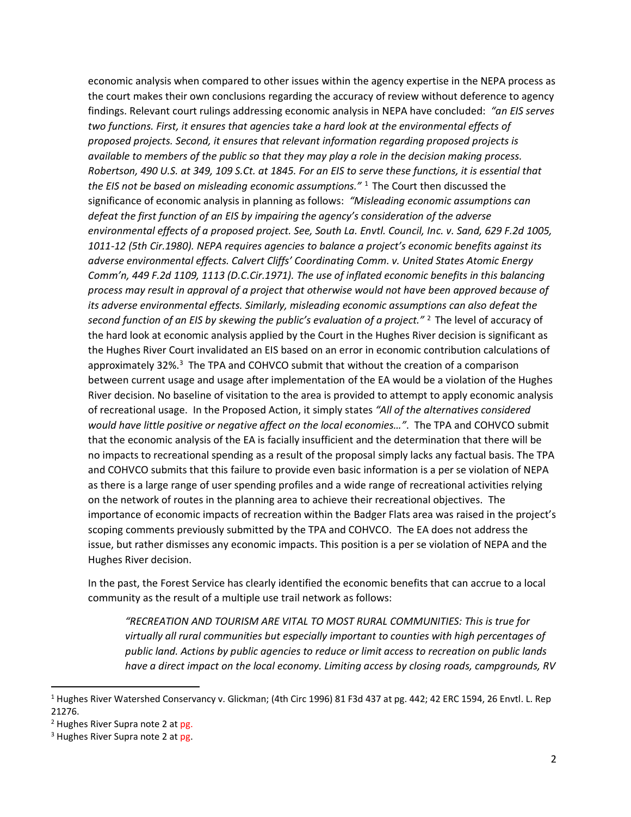economic analysis when compared to other issues within the agency expertise in the NEPA process as the court makes their own conclusions regarding the accuracy of review without deference to agency findings. Relevant court rulings addressing economic analysis in NEPA have concluded: *"an EIS serves two functions. First, it ensures that agencies take a hard look at the environmental effects of proposed projects. Second, it ensures that relevant information regarding proposed projects is available to members of the public so that they may play a role in the decision making process. Robertson, 490 U.S. at 349, 109 S.Ct. at 1845. For an EIS to serve these functions, it is essential that the EIS not be based on misleading economic assumptions."* <sup>1</sup> The Court then discussed the significance of economic analysis in planning as follows: *"Misleading economic assumptions can defeat the first function of an EIS by impairing the agency's consideration of the adverse environmental effects of a proposed project. See, South La. Envtl. Council, Inc. v. Sand, 629 F.2d 1005, 1011-12 (5th Cir.1980). NEPA requires agencies to balance a project's economic benefits against its adverse environmental effects. Calvert Cliffs' Coordinating Comm. v. United States Atomic Energy Comm'n, 449 F.2d 1109, 1113 (D.C.Cir.1971). The use of inflated economic benefits in this balancing process may result in approval of a project that otherwise would not have been approved because of its adverse environmental effects. Similarly, misleading economic assumptions can also defeat the second function of an EIS by skewing the public's evaluation of a project."* <sup>2</sup> The level of accuracy of the hard look at economic analysis applied by the Court in the Hughes River decision is significant as the Hughes River Court invalidated an EIS based on an error in economic contribution calculations of approximately 32%.<sup>3</sup> The TPA and COHVCO submit that without the creation of a comparison between current usage and usage after implementation of the EA would be a violation of the Hughes River decision. No baseline of visitation to the area is provided to attempt to apply economic analysis of recreational usage. In the Proposed Action, it simply states *"All of the alternatives considered would have little positive or negative affect on the local economies…"*. The TPA and COHVCO submit that the economic analysis of the EA is facially insufficient and the determination that there will be no impacts to recreational spending as a result of the proposal simply lacks any factual basis. The TPA and COHVCO submits that this failure to provide even basic information is a per se violation of NEPA as there is a large range of user spending profiles and a wide range of recreational activities relying on the network of routes in the planning area to achieve their recreational objectives. The importance of economic impacts of recreation within the Badger Flats area was raised in the project's scoping comments previously submitted by the TPA and COHVCO. The EA does not address the issue, but rather dismisses any economic impacts. This position is a per se violation of NEPA and the Hughes River decision.

In the past, the Forest Service has clearly identified the economic benefits that can accrue to a local community as the result of a multiple use trail network as follows:

*"RECREATION AND TOURISM ARE VITAL TO MOST RURAL COMMUNITIES: This is true for virtually all rural communities but especially important to counties with high percentages of public land. Actions by public agencies to reduce or limit access to recreation on public lands have a direct impact on the local economy. Limiting access by closing roads, campgrounds, RV* 

l

<sup>1</sup> Hughes River Watershed Conservancy v. Glickman; (4th Circ 1996) 81 F3d 437 at pg. 442; 42 ERC 1594, 26 Envtl. L. Rep 21276.

<sup>&</sup>lt;sup>2</sup> Hughes River Supra note 2 at pg.

<sup>&</sup>lt;sup>3</sup> Hughes River Supra note 2 at pg.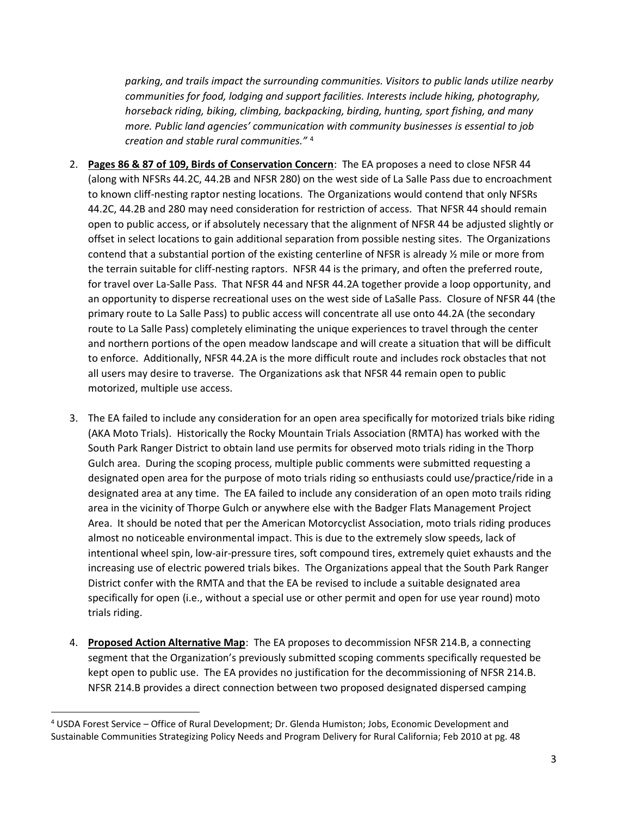*parking, and trails impact the surrounding communities. Visitors to public lands utilize nearby communities for food, lodging and support facilities. Interests include hiking, photography, horseback riding, biking, climbing, backpacking, birding, hunting, sport fishing, and many more. Public land agencies' communication with community businesses is essential to job creation and stable rural communities."* <sup>4</sup>

- 2. **Pages 86 & 87 of 109, Birds of Conservation Concern**: The EA proposes a need to close NFSR 44 (along with NFSRs 44.2C, 44.2B and NFSR 280) on the west side of La Salle Pass due to encroachment to known cliff-nesting raptor nesting locations. The Organizations would contend that only NFSRs 44.2C, 44.2B and 280 may need consideration for restriction of access. That NFSR 44 should remain open to public access, or if absolutely necessary that the alignment of NFSR 44 be adjusted slightly or offset in select locations to gain additional separation from possible nesting sites. The Organizations contend that a substantial portion of the existing centerline of NFSR is already ½ mile or more from the terrain suitable for cliff-nesting raptors. NFSR 44 is the primary, and often the preferred route, for travel over La-Salle Pass. That NFSR 44 and NFSR 44.2A together provide a loop opportunity, and an opportunity to disperse recreational uses on the west side of LaSalle Pass. Closure of NFSR 44 (the primary route to La Salle Pass) to public access will concentrate all use onto 44.2A (the secondary route to La Salle Pass) completely eliminating the unique experiences to travel through the center and northern portions of the open meadow landscape and will create a situation that will be difficult to enforce. Additionally, NFSR 44.2A is the more difficult route and includes rock obstacles that not all users may desire to traverse. The Organizations ask that NFSR 44 remain open to public motorized, multiple use access.
- 3. The EA failed to include any consideration for an open area specifically for motorized trials bike riding (AKA Moto Trials). Historically the Rocky Mountain Trials Association (RMTA) has worked with the South Park Ranger District to obtain land use permits for observed moto trials riding in the Thorp Gulch area. During the scoping process, multiple public comments were submitted requesting a designated open area for the purpose of moto trials riding so enthusiasts could use/practice/ride in a designated area at any time. The EA failed to include any consideration of an open moto trails riding area in the vicinity of Thorpe Gulch or anywhere else with the Badger Flats Management Project Area. It should be noted that per the American Motorcyclist Association, moto trials riding produces almost no noticeable environmental impact. This is due to the extremely slow speeds, lack of intentional wheel spin, low-air-pressure tires, soft compound tires, extremely quiet exhausts and the increasing use of electric powered trials bikes. The Organizations appeal that the South Park Ranger District confer with the RMTA and that the EA be revised to include a suitable designated area specifically for open (i.e., without a special use or other permit and open for use year round) moto trials riding.
- 4. **Proposed Action Alternative Map**: The EA proposes to decommission NFSR 214.B, a connecting segment that the Organization's previously submitted scoping comments specifically requested be kept open to public use. The EA provides no justification for the decommissioning of NFSR 214.B. NFSR 214.B provides a direct connection between two proposed designated dispersed camping

 $\overline{\phantom{a}}$ 

<sup>4</sup> USDA Forest Service – Office of Rural Development; Dr. Glenda Humiston; Jobs, Economic Development and Sustainable Communities Strategizing Policy Needs and Program Delivery for Rural California; Feb 2010 at pg. 48